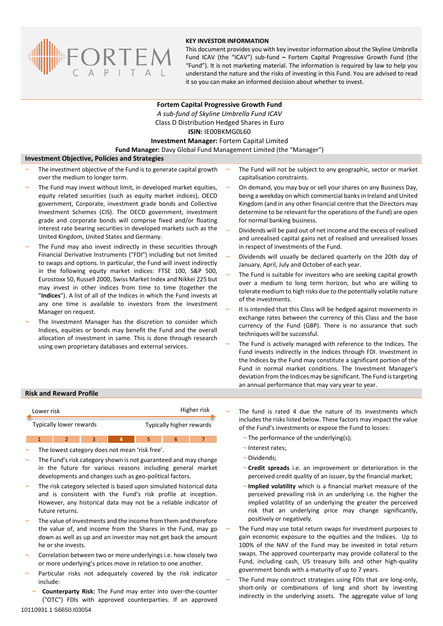

## **KEY INVESTOR INFORMATION**

This document provides you with key investor information about the Skyline Umbrella Fund ICAV (the "ICAV") sub-fund **–** Fortem Capital Progressive Growth Fund (the "Fund"). It is not marketing material. The information is required by law to help you understand the nature and the risks of investing in this Fund. You are advised to read it so you can make an informed decision about whether to invest.

**Fortem Capital Progressive Growth Fund** *A sub-fund of Skyline Umbrella Fund ICAV* Class D Distribution Hedged Shares in Euro **ISIN:** IE00BKMG0L60 **Investment Manager:** Fortem Capital Limited **Fund Manager:** Davy Global Fund Management Limited (the "Manager")

## **Investment Objective, Policies and Strategies**

- The investment objective of the Fund is to generate capital growth over the medium to longer term.
- The Fund may invest without limit, in developed market equities, equity related securities (such as equity market indices), OECD government, Corporate, investment grade bonds and Collective Investment Schemes (CIS). The OECD government, investment grade and corporate bonds will comprise fixed and/or floating interest rate bearing securities in developed markets such as the United Kingdom, United States and Germany.
- The Fund may also invest indirectly in these securities through Financial Derivative Instruments ("FDI") including but not limited to swaps and options. In particular, the Fund will invest indirectly in the following equity market indices: FTSE 100, S&P 500, Eurostoxx 50, Russell 2000, Swiss Market Index and Nikkei 225 but may invest in other indices from time to time (together the "**Indices**"). A list of all of the Indices in which the Fund invests at any one time is available to investors from the Investment Manager on request.
- The Investment Manager has the discretion to consider which Indices, equities or bonds may benefit the Fund and the overall allocation of investment in same. This is done through research using own proprietary databases and external services.
- The Fund will not be subject to any geographic, sector or market capitalisation constraints.
- On demand, you may buy or sell your shares on any Business Day, being a weekday on which commercial banks in Ireland and United Kingdom (and in any other financial centre that the Directors may determine to be relevant for the operations of the Fund) are open for normal banking business.
- Dividends will be paid out of net income and the excess of realised and unrealised capital gains net of realised and unrealised losses in respect of investments of the Fund.
- Dividends will usually be declared quarterly on the 20th day of January, April, July and October of each year.
- The Fund is suitable for investors who are seeking capital growth over a medium to long term horizon, but who are willing to tolerate medium to high risks due to the potentially volatile nature of the investments.
- It is intended that this Class will be hedged against movements in exchange rates between the currency of this Class and the base currency of the Fund (GBP). There is no assurance that such techniques will be successful.
- The Fund is actively managed with reference to the Indices. The Fund invests indirectly in the Indices through FDI. Investment in the Indices by the Fund may constitute a significant portion of the Fund in normal market conditions. The Investment Manager's deviation from the Indices may be significant. The Fund is targeting an annual performance that may vary year to year.

### **Risk and Reward Profile**

| Lower risk              | Higher risk              |
|-------------------------|--------------------------|
| Typically lower rewards | Typically higher rewards |

1 2 3 **4** 5 6 7

- The lowest category does not mean 'risk free'.
- The Fund's risk category shown is not guaranteed and may change in the future for various reasons including general market developments and changes such as geo-political factors.
- The risk category selected is based upon simulated historical data and is consistent with the Fund's risk profile at inception. However, any historical data may not be a reliable indicator of future returns.
- The value of investments and the income from them and therefore the value of, and income from the Shares in the Fund, may go down as well as up and an investor may not get back the amount he or she invests.
- Correlation between two or more underlyings i.e. how closely two or more underlying's prices move in relation to one another.
- Particular risks not adequately covered by the risk indicator include:
	- **Counterparty Risk:** The Fund may enter into over-the-counter ("OTC") FDIs with approved counterparties. If an approved

 The fund is rated 4 due the nature of its investments which includes the risks listed below. These factors may impact the value of the Fund's investments or expose the Fund to losses:

- $\sim$  The performance of the underlying(s);
- $\sim$  Interest rates:
- ~Dividends;
- **Credit spreads** i.e. an improvement or deterioration in the perceived credit quality of an issuer, by the financial market;
- **Implied volatility** which is a financial market measure of the perceived prevailing risk in an underlying i.e. the higher the implied volatility of an underlying the greater the perceived risk that an underlying price may change significantly, positively or negatively.
- The Fund may use total return swaps for investment purposes to gain economic exposure to the equities and the Indices. Up to 100% of the NAV of the Fund may be invested in total return swaps. The approved counterparty may provide collateral to the Fund, including cash, US treasury bills and other high-quality government bonds with a maturity of up to 7 years.
- The Fund may construct strategies using FDIs that are long-only, short-only or combinations of long and short by investing indirectly in the underlying assets. The aggregate value of long